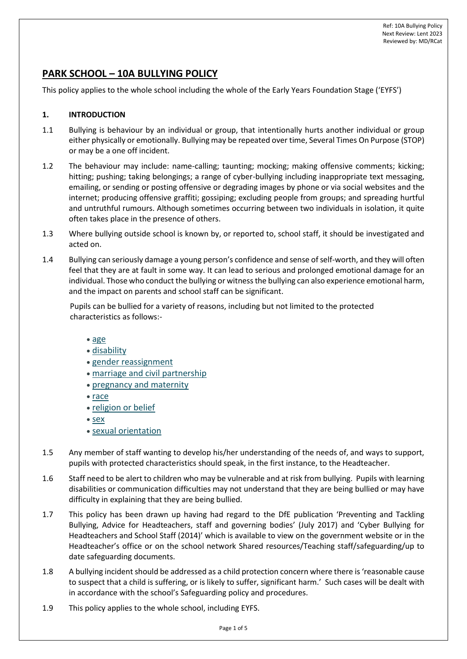# **PARK SCHOOL – 10A BULLYING POLICY**

This policy applies to the whole school including the whole of the Early Years Foundation Stage ('EYFS')

#### **1. INTRODUCTION**

- 1.1 Bullying is behaviour by an individual or group, that intentionally hurts another individual or group either physically or emotionally. Bullying may be repeated over time, Several Times On Purpose (STOP) or may be a one off incident.
- 1.2 The behaviour may include: name-calling; taunting; mocking; making offensive comments; kicking; hitting; pushing; taking belongings; a range of cyber-bullying including inappropriate text messaging, emailing, or sending or posting offensive or degrading images by phone or via social websites and the internet; producing offensive graffiti; gossiping; excluding people from groups; and spreading hurtful and untruthful rumours. Although sometimes occurring between two individuals in isolation, it quite often takes place in the presence of others.
- 1.3 Where bullying outside school is known by, or reported to, school staff, it should be investigated and acted on.
- 1.4 Bullying can seriously damage a young person's confidence and sense of self-worth, and they will often feel that they are at fault in some way. It can lead to serious and prolonged emotional damage for an individual. Those who conduct the bullying or witness the bullying can also experience emotional harm, and the impact on parents and school staff can be significant.

Pupils can be bullied for a variety of reasons, including but not limited to the protected characteristics as follows:-

- [age](https://www.equalityhumanrights.com/en/equality-act/protected-characteristics#age)
- [disability](https://www.equalityhumanrights.com/en/equality-act/protected-characteristics#disability)
- [gender reassignment](https://www.equalityhumanrights.com/en/equality-act/protected-characteristics#reassignment)
- [marriage and civil](https://www.equalityhumanrights.com/en/equality-act/protected-characteristics#marriage) partnership
- [pregnancy and maternity](https://www.equalityhumanrights.com/en/equality-act/protected-characteristics#pregmat)
- [race](https://www.equalityhumanrights.com/en/equality-act/protected-characteristics#race)
- [religion or belief](https://www.equalityhumanrights.com/en/equality-act/protected-characteristics#rob)
- [sex](https://www.equalityhumanrights.com/en/equality-act/protected-characteristics#sex)
- [sexual orientation](https://www.equalityhumanrights.com/en/equality-act/protected-characteristics#lgb)
- 1.5 Any member of staff wanting to develop his/her understanding of the needs of, and ways to support, pupils with protected characteristics should speak, in the first instance, to the Headteacher.
- 1.6 Staff need to be alert to children who may be vulnerable and at risk from bullying. Pupils with learning disabilities or communication difficulties may not understand that they are being bullied or may have difficulty in explaining that they are being bullied.
- 1.7 This policy has been drawn up having had regard to the DfE publication 'Preventing and Tackling Bullying, Advice for Headteachers, staff and governing bodies' (July 2017) and 'Cyber Bullying for Headteachers and School Staff (2014)' which is available to view on the government website or in the Headteacher's office or on the school network Shared resources/Teaching staff/safeguarding/up to date safeguarding documents.
- 1.8 A bullying incident should be addressed as a child protection concern where there is 'reasonable cause to suspect that a child is suffering, or is likely to suffer, significant harm.' Such cases will be dealt with in accordance with the school's Safeguarding policy and procedures.
- 1.9 This policy applies to the whole school, including EYFS.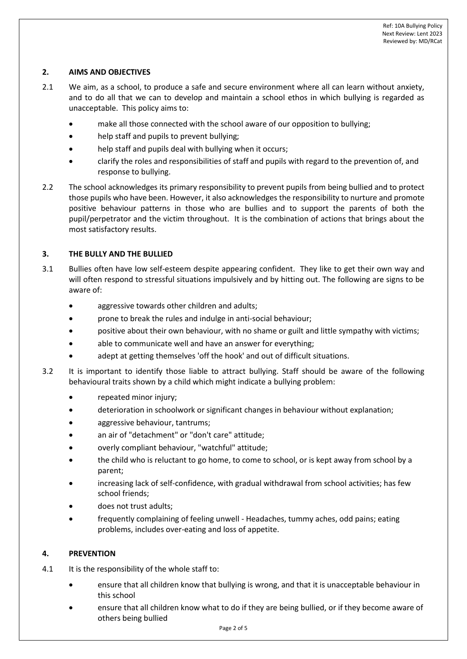## **2. AIMS AND OBJECTIVES**

- 2.1 We aim, as a school, to produce a safe and secure environment where all can learn without anxiety, and to do all that we can to develop and maintain a school ethos in which bullying is regarded as unacceptable. This policy aims to:
	- make all those connected with the school aware of our opposition to bullying;
	- help staff and pupils to prevent bullying;
	- help staff and pupils deal with bullying when it occurs;
	- clarify the roles and responsibilities of staff and pupils with regard to the prevention of, and response to bullying.
- 2.2 The school acknowledges its primary responsibility to prevent pupils from being bullied and to protect those pupils who have been. However, it also acknowledges the responsibility to nurture and promote positive behaviour patterns in those who are bullies and to support the parents of both the pupil/perpetrator and the victim throughout. It is the combination of actions that brings about the most satisfactory results.

### **3. THE BULLY AND THE BULLIED**

- 3.1 Bullies often have low self-esteem despite appearing confident. They like to get their own way and will often respond to stressful situations impulsively and by hitting out. The following are signs to be aware of:
	- aggressive towards other children and adults;
	- prone to break the rules and indulge in anti-social behaviour;
	- positive about their own behaviour, with no shame or guilt and little sympathy with victims;
	- able to communicate well and have an answer for everything;
	- adept at getting themselves 'off the hook' and out of difficult situations.
- 3.2 It is important to identify those liable to attract bullying. Staff should be aware of the following behavioural traits shown by a child which might indicate a bullying problem:
	- repeated minor injury;
	- deterioration in schoolwork or significant changes in behaviour without explanation;
	- aggressive behaviour, tantrums;
	- an air of "detachment" or "don't care" attitude;
	- overly compliant behaviour, "watchful" attitude;
	- the child who is reluctant to go home, to come to school, or is kept away from school by a parent;
	- increasing lack of self-confidence, with gradual withdrawal from school activities; has few school friends;
	- does not trust adults;
	- frequently complaining of feeling unwell Headaches, tummy aches, odd pains; eating problems, includes over-eating and loss of appetite.

#### **4. PREVENTION**

- 4.1 It is the responsibility of the whole staff to:
	- ensure that all children know that bullying is wrong, and that it is unacceptable behaviour in this school
	- ensure that all children know what to do if they are being bullied, or if they become aware of others being bullied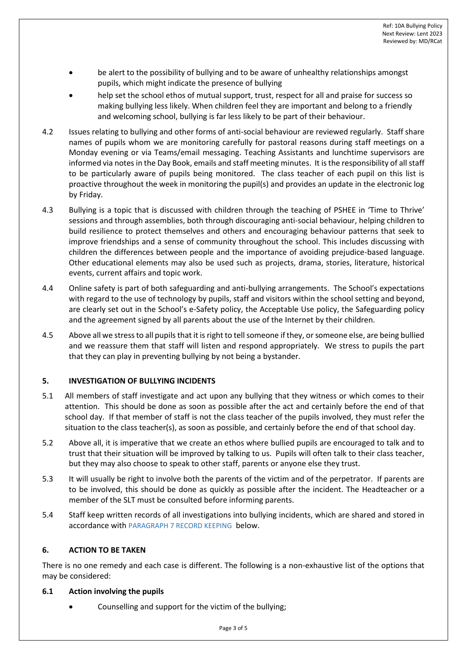- be alert to the possibility of bullying and to be aware of unhealthy relationships amongst pupils, which might indicate the presence of bullying
- help set the school ethos of mutual support, trust, respect for all and praise for success so making bullying less likely. When children feel they are important and belong to a friendly and welcoming school, bullying is far less likely to be part of their behaviour.
- 4.2 Issues relating to bullying and other forms of anti-social behaviour are reviewed regularly. Staff share names of pupils whom we are monitoring carefully for pastoral reasons during staff meetings on a Monday evening or via Teams/email messaging. Teaching Assistants and lunchtime supervisors are informed via notes in the Day Book, emails and staff meeting minutes. It is the responsibility of all staff to be particularly aware of pupils being monitored. The class teacher of each pupil on this list is proactive throughout the week in monitoring the pupil(s) and provides an update in the electronic log by Friday.
- 4.3 Bullying is a topic that is discussed with children through the teaching of PSHEE in 'Time to Thrive' sessions and through assemblies, both through discouraging anti-social behaviour, helping children to build resilience to protect themselves and others and encouraging behaviour patterns that seek to improve friendships and a sense of community throughout the school. This includes discussing with children the differences between people and the importance of avoiding prejudice-based language. Other educational elements may also be used such as projects, drama, stories, literature, historical events, current affairs and topic work.
- 4.4 Online safety is part of both safeguarding and anti-bullying arrangements. The School's expectations with regard to the use of technology by pupils, staff and visitors within the school setting and beyond, are clearly set out in the School's e-Safety policy, the Acceptable Use policy, the Safeguarding policy and the agreement signed by all parents about the use of the Internet by their children.
- 4.5 Above all we stress to all pupils that it isright to tell someone if they, or someone else, are being bullied and we reassure them that staff will listen and respond appropriately. We stress to pupils the part that they can play in preventing bullying by not being a bystander.

### **5. INVESTIGATION OF BULLYING INCIDENTS**

- 5.1 All members of staff investigate and act upon any bullying that they witness or which comes to their attention. This should be done as soon as possible after the act and certainly before the end of that school day. If that member of staff is not the class teacher of the pupils involved, they must refer the situation to the class teacher(s), as soon as possible, and certainly before the end of that school day.
- 5.2 Above all, it is imperative that we create an ethos where bullied pupils are encouraged to talk and to trust that their situation will be improved by talking to us. Pupils will often talk to their class teacher, but they may also choose to speak to other staff, parents or anyone else they trust.
- 5.3 It will usually be right to involve both the parents of the victim and of the perpetrator. If parents are to be involved, this should be done as quickly as possible after the incident. The Headteacher or a member of the SLT must be consulted before informing parents.
- 5.4 Staff keep written records of all investigations into bullying incidents, which are shared and stored in accordance with PARAGRAPH 7 RECORD KEEPING below.

#### **6. ACTION TO BE TAKEN**

There is no one remedy and each case is different. The following is a non-exhaustive list of the options that may be considered:

#### **6.1 Action involving the pupils**

• Counselling and support for the victim of the bullying;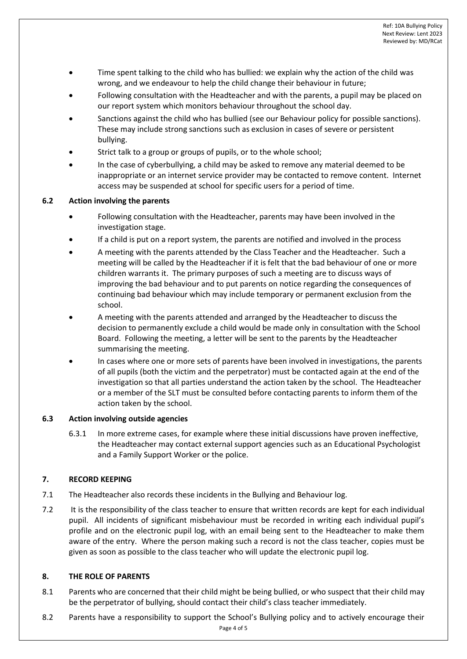- Time spent talking to the child who has bullied: we explain why the action of the child was wrong, and we endeavour to help the child change their behaviour in future;
- Following consultation with the Headteacher and with the parents, a pupil may be placed on our report system which monitors behaviour throughout the school day.
- Sanctions against the child who has bullied (see our Behaviour policy for possible sanctions). These may include strong sanctions such as exclusion in cases of severe or persistent bullying.
- Strict talk to a group or groups of pupils, or to the whole school;
- In the case of cyberbullying, a child may be asked to remove any material deemed to be inappropriate or an internet service provider may be contacted to remove content. Internet access may be suspended at school for specific users for a period of time.

### **6.2 Action involving the parents**

- Following consultation with the Headteacher, parents may have been involved in the investigation stage.
- If a child is put on a report system, the parents are notified and involved in the process
- A meeting with the parents attended by the Class Teacher and the Headteacher. Such a meeting will be called by the Headteacher if it is felt that the bad behaviour of one or more children warrants it. The primary purposes of such a meeting are to discuss ways of improving the bad behaviour and to put parents on notice regarding the consequences of continuing bad behaviour which may include temporary or permanent exclusion from the school.
- A meeting with the parents attended and arranged by the Headteacher to discuss the decision to permanently exclude a child would be made only in consultation with the School Board. Following the meeting, a letter will be sent to the parents by the Headteacher summarising the meeting.
- In cases where one or more sets of parents have been involved in investigations, the parents of all pupils (both the victim and the perpetrator) must be contacted again at the end of the investigation so that all parties understand the action taken by the school. The Headteacher or a member of the SLT must be consulted before contacting parents to inform them of the action taken by the school.

### **6.3 Action involving outside agencies**

6.3.1 In more extreme cases, for example where these initial discussions have proven ineffective, the Headteacher may contact external support agencies such as an Educational Psychologist and a Family Support Worker or the police.

### **7. RECORD KEEPING**

- 7.1 The Headteacher also records these incidents in the Bullying and Behaviour log.
- 7.2 It is the responsibility of the class teacher to ensure that written records are kept for each individual pupil. All incidents of significant misbehaviour must be recorded in writing each individual pupil's profile and on the electronic pupil log, with an email being sent to the Headteacher to make them aware of the entry. Where the person making such a record is not the class teacher, copies must be given as soon as possible to the class teacher who will update the electronic pupil log.

### **8. THE ROLE OF PARENTS**

- 8.1 Parents who are concerned that their child might be being bullied, or who suspect that their child may be the perpetrator of bullying, should contact their child's class teacher immediately.
- 8.2 Parents have a responsibility to support the School's Bullying policy and to actively encourage their